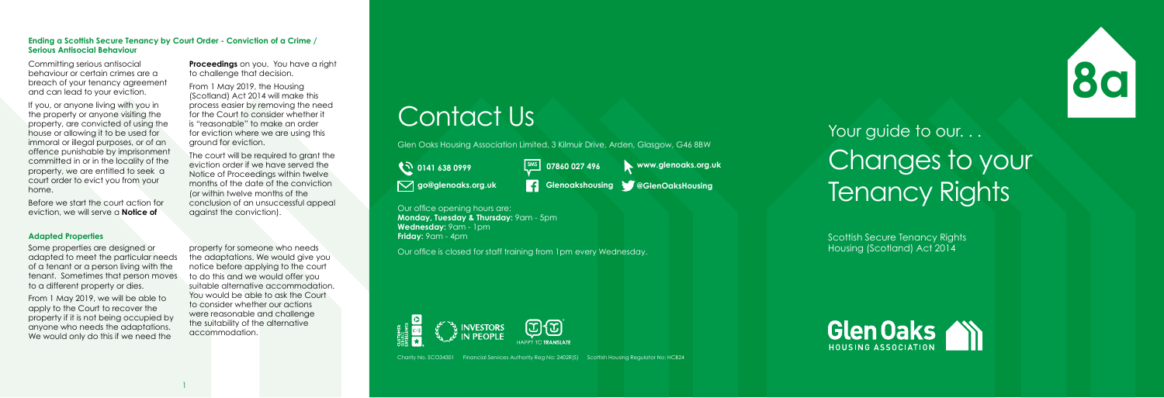Scottish Secure Tenancy Rights Housing (Scotland) Act 2014





Charity No. SCO34301 Financial Services Authority Reg No: 2402R(S) Scottish Housing Regulator No: HCB24

**Monday, Tuesday & Thursday:** 9am - 5pm **Wednesday:** 9am - 1pm **Friday:** 9am - 4pm

# Contact Us

Glen Oaks Housing Association Limited, 3 Kilmuir Drive, Arden, Glasgow, G46 8BW

**10 0141 638 0999** 

Our office is closed for staff training from 1pm every Wednesday.



**go@glenoaks.org.uk Glenoakshousing @GlenOaksHousing**

**SMS 07860 027 496 www.glenoaks.org.uk**

Your guide to our... Changes to your N go@glenoaks.org.uk **Rights of the Section Section** Our office opening hours are:<br>Our office opening hours are:

#### **Ending a Scottish Secure Tenancy by Court Order - Conviction of a Crime / Serious Antisocial Behaviour**

**Proceedings** on you. You have a right to challenge that decision.

Committing serious antisocial behaviour or certain crimes are a breach of your tenancy agreement and can lead to your eviction.

If you, or anyone living with you in the property or anyone visiting the property, are convicted of using the house or allowing it to be used for immoral or illegal purposes, or of an offence punishable by imprisonment committed in or in the locality of the property, we are entitled to seek a court order to evict you from your home.

From 1 May 2019, we will be able to apply to the Court to recover the property if it is not being occupied by anyone who needs the adaptations. We would only do this if we need the

Before we start the court action for eviction, we will serve a **Notice of** 

From 1 May 2019, the Housing (Scotland) Act 2014 will make this process easier by removing the need for the Court to consider whether it is "reasonable" to make an order for eviction where we are using this ground for eviction.

The court will be required to grant the eviction order if we have served the Notice of Proceedings within twelve months of the date of the conviction (or within twelve months of the conclusion of an unsuccessful appeal against the conviction).

### **Adapted Properties**

Some properties are designed or adapted to meet the particular needs of a tenant or a person living with the tenant. Sometimes that person moves to a different property or dies.

property for someone who needs the adaptations. We would give you notice before applying to the court to do this and we would offer you suitable alternative accommodation. You would be able to ask the Court to consider whether our actions were reasonable and challenge the suitability of the alternative accommodation.